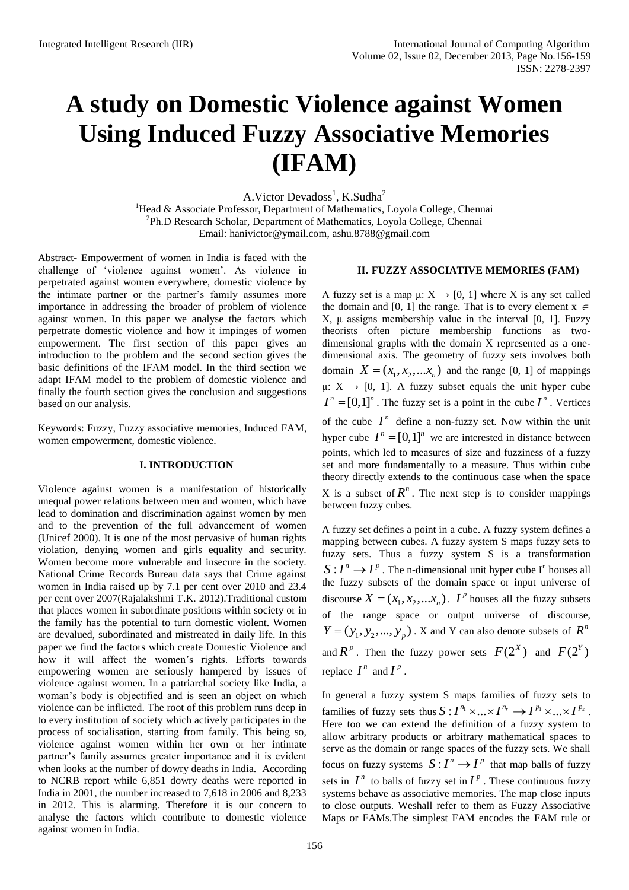# **A study on Domestic Violence against Women Using Induced Fuzzy Associative Memories (IFAM)**

A.Victor Devadoss<sup>1</sup>, K.Sudha<sup>2</sup>

<sup>1</sup>Head & Associate Professor, Department of Mathematics, Loyola College, Chennai <sup>2</sup>Ph.D Research Scholar, Department of Mathematics, Loyola College, Chennai Email: [hanivictor@ymail.com,](mailto:hanivictor@ymail.com) [ashu.8788@gmail.com](mailto:ashu.8788@gmail.com)

Abstract- Empowerment of women in India is faced with the challenge of 'violence against women'. As violence in perpetrated against women everywhere, domestic violence by the intimate partner or the partner's family assumes more importance in addressing the broader of problem of violence against women. In this paper we analyse the factors which perpetrate domestic violence and how it impinges of women empowerment. The first section of this paper gives an introduction to the problem and the second section gives the basic definitions of the IFAM model. In the third section we adapt IFAM model to the problem of domestic violence and finally the fourth section gives the conclusion and suggestions based on our analysis.

Keywords: Fuzzy, Fuzzy associative memories, Induced FAM, women empowerment, domestic violence.

#### **I. INTRODUCTION**

Violence against women is a manifestation of historically unequal power relations between men and women, which have lead to domination and discrimination against women by men and to the prevention of the full advancement of women (Unicef 2000). It is one of the most pervasive of human rights violation, denying women and girls equality and security. Women become more vulnerable and insecure in the society. National Crime Records Bureau data says that Crime against women in India raised up by 7.1 per cent over 2010 and 23.4 per cent over 2007(Rajalakshmi T.K. 2012).Traditional custom that places women in subordinate positions within society or in the family has the potential to turn domestic violent. Women are devalued, subordinated and mistreated in daily life. In this paper we find the factors which create Domestic Violence and how it will affect the women's rights. Efforts towards empowering women are seriously hampered by issues of violence against women. In a patriarchal society like India, a woman's body is objectified and is seen an object on which violence can be inflicted. The root of this problem runs deep in to every institution of society which actively participates in the process of socialisation, starting from family. This being so, violence against women within her own or her intimate partner's family assumes greater importance and it is evident when looks at the number of dowry deaths in India. According to NCRB report while 6,851 dowry deaths were reported in India in 2001, the number increased to 7,618 in 2006 and 8,233 in 2012. This is alarming. Therefore it is our concern to analyse the factors which contribute to domestic violence against women in India.

## **II. FUZZY ASSOCIATIVE MEMORIES (FAM)**

A fuzzy set is a map  $\mu: X \to [0, 1]$  where X is any set called the domain and [0, 1] the range. That is to every element  $x \in$ X, μ assigns membership value in the interval [0, 1]. Fuzzy theorists often picture membership functions as twodimensional graphs with the domain X represented as a onedimensional axis. The geometry of fuzzy sets involves both domain  $X = (x_1, x_2,...x_n)$  and the range [0, 1] of mappings μ: X  $\rightarrow$  [0, 1]. A fuzzy subset equals the unit hyper cube  $I^n = [0,1]^n$ . The fuzzy set is a point in the cube  $I^n$ . Vertices of the cube  $I<sup>n</sup>$  define a non-fuzzy set. Now within the unit hyper cube  $I^n = [0,1]^n$  we are interested in distance between points, which led to measures of size and fuzziness of a fuzzy set and more fundamentally to a measure. Thus within cube theory directly extends to the continuous case when the space X is a subset of  $R^n$ . The next step is to consider mappings

A fuzzy set defines a point in a cube. A fuzzy system defines a mapping between cubes. A fuzzy system S maps fuzzy sets to fuzzy sets. Thus a fuzzy system S is a transformation  $S: I^n \to I^p$ . The n-dimensional unit hyper cube I<sup>n</sup> houses all the fuzzy subsets of the domain space or input universe of discourse  $X = (x_1, x_2, \dots, x_n)$ . *I*<sup>*p*</sup> houses all the fuzzy subsets of the range space or output universe of discourse,  $Y = (y_1, y_2, \dots, y_p)$ . X and Y can also denote subsets of  $R^n$ and  $R^p$ . Then the fuzzy power sets  $F(2^X)$  and  $F(2^Y)$ replace  $I^n$  and  $I^p$ .

between fuzzy cubes.

In general a fuzzy system S maps families of fuzzy sets to In general a fuzzy system S maps families of fuzzy sets to families of fuzzy sets thus  $S: I^{n_1} \times ... \times I^{n_r} \to I^{p_1} \times ... \times I^{p_s}$ . Here too we can extend the definition of a fuzzy system to allow arbitrary products or arbitrary mathematical spaces to serve as the domain or range spaces of the fuzzy sets. We shall focus on fuzzy systems  $S: I^n \to I^p$  that map balls of fuzzy sets in  $I^n$  to balls of fuzzy set in  $I^p$ . These continuous fuzzy systems behave as associative memories. The map close inputs to close outputs. Weshall refer to them as Fuzzy Associative Maps or FAMs.The simplest FAM encodes the FAM rule or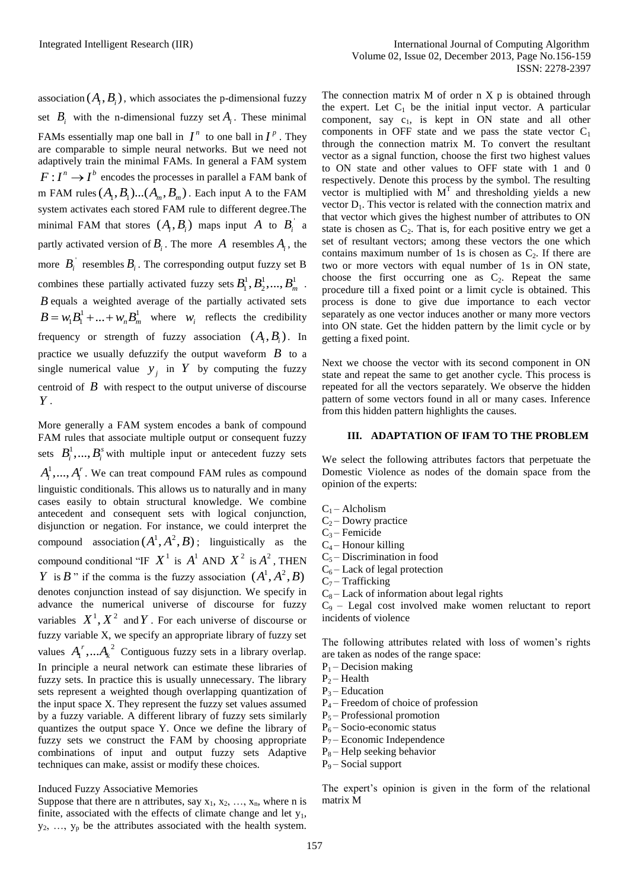association  $(A_i, B_i)$ , which associates the p-dimensional fuzzy set  $B_i$  with the n-dimensional fuzzy set  $A_i$ . These minimal FAMs essentially map one ball in  $I^n$  to one ball in  $I^p$ . They are comparable to simple neural networks. But we need not adaptively train the minimal FAMs. In general a FAM system  $F: I^n \to I^b$  encodes the processes in parallel a FAM bank of m FAM rules  $(A_1, B_1)$ ... $(A_m, B_m)$ . Each input A to the FAM system activates each stored FAM rule to different degree.The minimal FAM that stores  $(A_i, B_i)$  maps input A to  $B_i^{\dagger}$  a partly activated version of  $B_i$ . The more A resembles  $A_i$ , the more  $B_i$ <sup>'</sup> resembles  $B_i$ . The corresponding output fuzzy set B combines these partially activated fuzzy sets  $B_1^1, B_2^1, ..., B_m^1$ . *B* equals a weighted average of the partially activated sets  $B = w_1 B_1^1 + ... + w_n B_m^1$  where  $w_i$  reflects the credibility frequency or strength of fuzzy association  $(A_i, B_i)$ . In practice we usually defuzzify the output waveform  $\hat{B}$  to a single numerical value  $y_j$  in Y by computing the fuzzy centroid of  $\bm{B}$  with respect to the output universe of discourse *Y* .

More generally a FAM system encodes a bank of compound FAM rules that associate multiple output or consequent fuzzy sets  $B_i^1, ..., B_i^s$  with multiple input or antecedent fuzzy sets  $A_i^1, ..., A_i^r$ . We can treat compound FAM rules as compound linguistic conditionals. This allows us to naturally and in many cases easily to obtain structural knowledge. We combine antecedent and consequent sets with logical conjunction, disjunction or negation. For instance, we could interpret the compound association  $(A^1, A^2, B)$ ; linguistically as the compound conditional "IF  $X^1$  is  $A^1$  AND  $X^2$  is  $A^2$ , THEN *Y* is *B*<sup> $\cdot$ </sup> if the comma is the fuzzy association  $(A^1, A^2, B)$ denotes conjunction instead of say disjunction. We specify in advance the numerical universe of discourse for fuzzy variables  $X^1, X^2$  and Y. For each universe of discourse or fuzzy variable X, we specify an appropriate library of fuzzy set values  $A_i^r$ , ...  $A_k^2$  $A_1^r$ ,... $A_k^2$  Contiguous fuzzy sets in a library overlap. In principle a neural network can estimate these libraries of fuzzy sets. In practice this is usually unnecessary. The library sets represent a weighted though overlapping quantization of the input space X. They represent the fuzzy set values assumed by a fuzzy variable. A different library of fuzzy sets similarly quantizes the output space Y. Once we define the library of fuzzy sets we construct the FAM by choosing appropriate combinations of input and output fuzzy sets Adaptive techniques can make, assist or modify these choices.

#### Induced Fuzzy Associative Memories

Suppose that there are n attributes, say  $x_1, x_2, ..., x_n$ , where n is finite, associated with the effects of climate change and let  $y_1$ ,  $y_2, \ldots, y_p$  be the attributes associated with the health system.

The connection matrix  $M$  of order  $n \times p$  is obtained through the expert. Let  $C_1$  be the initial input vector. A particular component, say  $c_1$ , is kept in ON state and all other components in OFF state and we pass the state vector  $C_1$ through the connection matrix M. To convert the resultant vector as a signal function, choose the first two highest values to ON state and other values to OFF state with 1 and 0 respectively. Denote this process by the symbol. The resulting vector is multiplied with  $M<sup>T</sup>$  and thresholding yields a new vector  $D_1$ . This vector is related with the connection matrix and that vector which gives the highest number of attributes to ON state is chosen as  $C_2$ . That is, for each positive entry we get a set of resultant vectors; among these vectors the one which contains maximum number of 1s is chosen as  $C_2$ . If there are two or more vectors with equal number of 1s in ON state, choose the first occurring one as  $C_2$ . Repeat the same procedure till a fixed point or a limit cycle is obtained. This process is done to give due importance to each vector separately as one vector induces another or many more vectors into ON state. Get the hidden pattern by the limit cycle or by getting a fixed point.

Next we choose the vector with its second component in ON state and repeat the same to get another cycle. This process is repeated for all the vectors separately. We observe the hidden pattern of some vectors found in all or many cases. Inference from this hidden pattern highlights the causes.

### **III. ADAPTATION OF IFAM TO THE PROBLEM**

We select the following attributes factors that perpetuate the Domestic Violence as nodes of the domain space from the opinion of the experts:

- $C_1$  Alcholism
- $C_2$  Dowry practice
- $C_3$  Femicide
- $C_4$  Honour killing
- $C_5$  Discrimination in food
- $C_6$  Lack of legal protection
- $C_7$  Trafficking
- $C_8$  Lack of information about legal rights

 $C_9$  – Legal cost involved make women reluctant to report incidents of violence

The following attributes related with loss of women's rights are taken as nodes of the range space:

- $P_1$  Decision making
- $P_2$  Health
- $P_3$  Education
- P4 Freedom of choice of profession
- $P_5$  Professional promotion
- $P_6$  Socio-economic status
- $P_7$  Economic Independence
- $P_8$  Help seeking behavior
- $P_9$  Social support

The expert's opinion is given in the form of the relational matrix M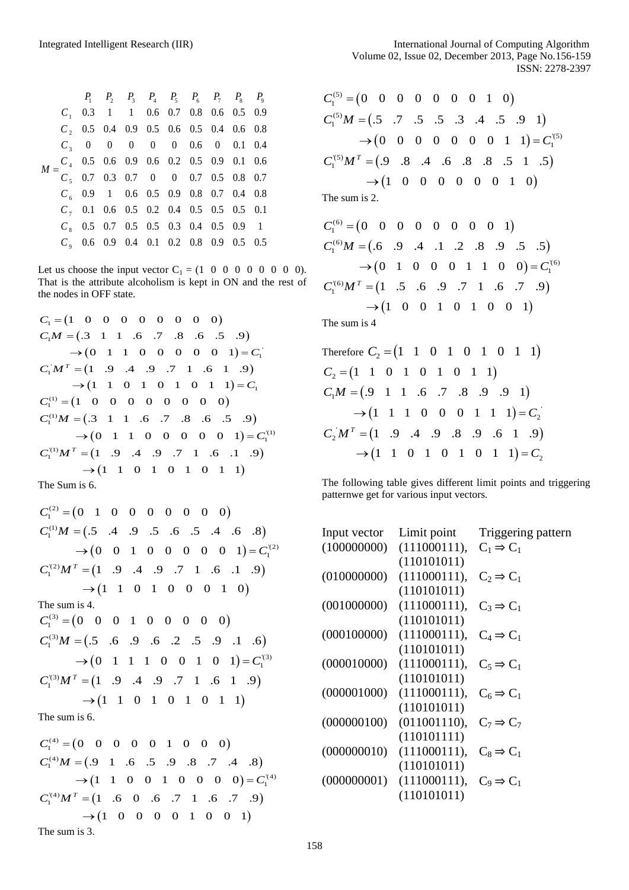|   |  | $P_1$ $P_2$ $P_3$ $P_4$ $P_5$ $P_6$ $P_7$ $P_8$ $P_9$                                                                                                        |  |  |  |
|---|--|--------------------------------------------------------------------------------------------------------------------------------------------------------------|--|--|--|
|   |  | $C_1$ 0.3 1 1 0.6 0.7 0.8 0.6 0.5 0.9                                                                                                                        |  |  |  |
|   |  | $C$ , 0.5 0.4 0.9 0.5 0.6 0.5 0.4 0.6 0.8                                                                                                                    |  |  |  |
|   |  | $C_3$ 0 0 0 0 0 0.6 0 0.1 0.4                                                                                                                                |  |  |  |
| M |  | $\begin{array}{cccccccccccc} C_4 & 0.5 & 0.6 & 0.9 & 0.6 & 0.2 & 0.5 & 0.9 & 0.1 & 0.6 \\ C_5 & 0.7 & 0.3 & 0.7 & 0 & 0 & 0.7 & 0.5 & 0.8 & 0.7 \end{array}$ |  |  |  |
|   |  |                                                                                                                                                              |  |  |  |
|   |  | $C_6$ 0.9 1 0.6 0.5 0.9 0.8 0.7 0.4 0.8                                                                                                                      |  |  |  |
|   |  | $C_7$ 0.1 0.6 0.5 0.2 0.4 0.5 0.5 0.5 0.1                                                                                                                    |  |  |  |
|   |  | $C_8$ 0.5 0.7 0.5 0.5 0.3 0.4 0.5 0.9 1                                                                                                                      |  |  |  |
|   |  | $C_9$ 0.6 0.9 0.4 0.1 0.2 0.8 0.9 0.5 0.5                                                                                                                    |  |  |  |

Let us choose the input vector  $C_1 = (1 \ 0 \ 0 \ 0 \ 0 \ 0 \ 0 \ 0)$ . That is the attribute alcoholism is kept in ON and the rest of the nodes in OFF state.

the nodes in OFF state.  
\n
$$
C_1 = (1 \ 0 \ 0 \ 0 \ 0 \ 0 \ 0 \ 0 \ 0)
$$
\n
$$
C_1M = (.3 \ 1 \ 1 \ 0 \ 0 \ 0 \ 0 \ 0 \ 0 \ 1) = C_1
$$
\n
$$
C_1M^T = (1 \ 0 \ 0 \ 0 \ 0 \ 0 \ 0 \ 1) = C_1
$$
\n
$$
C_1M^T = (1 \ 0 \ 0 \ 0 \ 0 \ 0 \ 0 \ 0 \ 1) = C_1
$$
\n
$$
C_1^{(1)} = (1 \ 0 \ 0 \ 0 \ 0 \ 0 \ 0 \ 0 \ 0)
$$
\n
$$
C_1^{(2)}M = (.3 \ 1 \ 1 \ 0 \ 0 \ 0 \ 0 \ 0 \ 0 \ 0)
$$
\n
$$
C_1^{(1)}M = (.3 \ 1 \ 1 \ 0 \ 0 \ 0 \ 0 \ 0 \ 0 \ 0 \ 0)
$$
\n
$$
C_1^{(2)}M^T = (1 \ 0 \ 0 \ 0 \ 0 \ 0 \ 0 \ 0 \ 0 \ 1) = C_1^{(1)}
$$
\n
$$
C_1^{(3)}M^T = (1 \ 0 \ 0 \ 0 \ 0 \ 0 \ 0 \ 0 \ 1) = 0
$$
\n
$$
\rightarrow (1 \ 1 \ 0 \ 1 \ 0 \ 1 \ 0 \ 1 \ 1)
$$
\nThe Sum is 6.

The Sum is 6.  
\n
$$
C_1^{(2)} = (0 \t 1 \t 0 \t 0 \t 0 \t 0 \t 0 \t 0 \t 0)
$$
\n
$$
C_1^{(1)}M = (.5 \t .4 \t .9 \t .5 \t .6 \t .5 \t .4 \t .6 \t .8)
$$
\n
$$
\rightarrow (0 \t 0 \t 1 \t 0 \t 0 \t 0 \t 0 \t 0 \t 1) = C_1^{(2)}
$$
\n
$$
C_1^{(2)}M^T = (1 \t .9 \t .4 \t .9 \t .7 \t 1 \t .6 \t .1 \t .9)
$$
\n
$$
\rightarrow (1 \t 1 \t 0 \t 1 \t 0 \t 0 \t 0 \t 1 \t 0)
$$
\nThe sum is 4.  
\n
$$
C_1^{(3)} = (0 \t 0 \t 0 \t 1 \t 0 \t 0 \t 0 \t 0 \t 0)
$$
\n
$$
C_1^{(3)}M = (.5 \t .6 \t .9 \t .6 \t .2 \t .5 \t .9 \t .1 \t .6)
$$
\n
$$
\rightarrow (0 \t 1 \t 1 \t 1 \t 0 \t 0 \t 1 \t 0 \t 1) = C_1^{(3)}
$$
\n
$$
C_1^{(3)}M^T = (1 \t .9 \t .4 \t .9 \t .7 \t 1 \t .6 \t 1 \t .9)
$$
\n
$$
\rightarrow (1 \t 1 \t 0 \t 1 \t 0 \t 1 \t 0 \t 1 \t 1)
$$

The sum is 6.

The sum is 6.<br>  $C_1^{(4)} = (0 \ 0 \ 0 \ 0 \ 0 \ 1 \ 0 \ 0 \ 0)$  $C_1^{(4)} = (0 \t 0 \t 0 \t 0 \t 0 \t 1 \t 0 \t 0 \t 0)$ <br>  $C_1^{(4)}M = (0 \t 1 \t 0 \t 0 \t 0 \t 1 \t 0 \t 0 \t 0 \t 0)$ <br>  $C_1^{(4)}M = (0 \t 0 \t 0 \t 0 \t 0 \t 1 \t 0 \t 0 \t 0 \t 0)$  $(1 \t1 \t0 \t0 \t1 \t0 \t0 \t0 \t0) = C_1^{(4)}$  $N_1^{(4)}M^T = (1 \quad .6 \quad 0 \quad .6 \quad .7 \quad 1 \quad .6 \quad .7)$  $\rightarrow (1 \ 0 \ 0 \ 0 \ 0 \ 1 \ 0 \ 0 \ 1)$ 9 1 .6 .5 .9 .8 .7 .4<br>1 1 0 0 1 0 0 0 0  $=$  (9 1 .6 .5 .9 .8 .7 .4 .8)<br>  $\rightarrow$  (1 1 0 0 1 0 0 0 0) =  $C_1^{(4)}$ <br>  $C =$  (1 .6 0 .6 .7 1 .6 .7 .9)  $T = (1 \quad .6 \quad 0 \quad .6 \quad .7 \quad 1 \quad .6 \quad .7)$ <br> $\rightarrow (1 \quad 0 \quad 0 \quad 0 \quad 0 \quad 1 \quad 0 \quad 0 \quad 1)$  $C_1^{(4)} = (0$ <br> $C_1^{(4)}M =$  $C_1^{(4)}M^T =$ The sum is 3.

$$
C_1^{(5)} = (0 \quad 0 \quad 0 \quad 0 \quad 0 \quad 0 \quad 1 \quad 0)
$$
  
\n
$$
C_1^{(5)}M = (.5 \quad .7 \quad .5 \quad .5 \quad .3 \quad .4 \quad .5 \quad .9 \quad 1)
$$
  
\n
$$
\rightarrow (0 \quad 0 \quad 0 \quad 0 \quad 0 \quad 0 \quad 1 \quad 1) = C_1^{(5)}
$$
  
\n
$$
C_1^{(5)}M^T = (.9 \quad .8 \quad .4 \quad .6 \quad .8 \quad .8 \quad .5 \quad 1 \quad .5)
$$
  
\n
$$
\rightarrow (1 \quad 0 \quad 0 \quad 0 \quad 0 \quad 0 \quad 0 \quad 1 \quad 0)
$$

The sum is 2.

$$
C_1^{(6)} = (0 \ 0 \ 0 \ 0 \ 0 \ 0 \ 0 \ 0 \ 1)
$$
  
\n
$$
C_1^{(6)}M = (0 \ 0 \ 0 \ 0 \ 0 \ 0 \ 0 \ 1)
$$
  
\n
$$
\rightarrow (0 \ 1 \ 0 \ 0 \ 0 \ 1 \ 1 \ 0 \ 0) = C_1^{(6)}
$$
  
\n
$$
C_1^{(6)}M^T = (1 \ 0 \ 0 \ 0 \ 1 \ 0 \ 0 \ 0 \ 1)
$$
  
\n
$$
\rightarrow (1 \ 0 \ 0 \ 1 \ 0 \ 1 \ 0 \ 0 \ 1)
$$

The sum is 4

| Therefore $C_2 = (1 \ 1 \ 0 \ 1 \ 0 \ 1 \ 0 \ 1 \ 1)$          |
|----------------------------------------------------------------|
| $C_2 = (1 \ 1 \ 0 \ 1 \ 0 \ 1 \ 0 \ 1 \ 1)$                    |
| $C_1M = (0.9 \t1 \t1 \t0.7 \t0.8 \t0.9 \t1)$                   |
| $\rightarrow$ (1 1 1 0 0 0 1 1 1) = $C_2$                      |
| $C_2 M^T = (1 \t .9 \t .4 \t .9 \t .8 \t .9 \t .6 \t 1 \t .9)$ |
| $\rightarrow$ (1 1 0 1 0 1 0 1 1) = $C_2$                      |

The following table gives different limit points and triggering patternwe get for various input vectors.

| Input vector | Limit point  | Triggering pattern    |
|--------------|--------------|-----------------------|
| (100000000)  | (111000111), | $C_1 \Rightarrow C_1$ |
|              | (110101011)  |                       |
| (010000000)  | (111000111), | $C_2 \Rightarrow C_1$ |
|              | (110101011)  |                       |
| (001000000)  | (111000111), | $C_3 \Rightarrow C_1$ |
|              | (110101011)  |                       |
| (000100000)  | (111000111), | $C_4 \Rightarrow C_1$ |
|              | (110101011)  |                       |
| (000010000)  | (111000111), | $C_5 \Rightarrow C_1$ |
|              | (110101011)  |                       |
| (000001000)  | (111000111), | $C_6 \Rightarrow C_1$ |
|              | (110101011)  |                       |
| (000000100)  | (011001110), | $C_7 \Rightarrow C_7$ |
|              | (110101111)  |                       |
| (000000010)  | (111000111), | $C_8 \Rightarrow C_1$ |
|              | (110101011)  |                       |
| (000000001)  | (111000111), | $C_9 \Rightarrow C_1$ |
|              | (110101011)  |                       |
|              |              |                       |